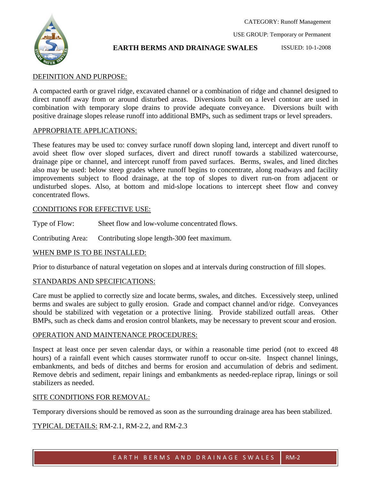

## **EARTH BERMS AND DRAINAGE SWALES**

CATEGORY: Runoff Management

USE GROUP: Temporary or Permanent

#### ISSUED: 10-1-2008

# DEFINITION AND PURPOSE:

A compacted earth or gravel ridge, excavated channel or a combination of ridge and channel designed to direct runoff away from or around disturbed areas. Diversions built on a level contour are used in combination with temporary slope drains to provide adequate conveyance. Diversions built with positive drainage slopes release runoff into additional BMPs, such as sediment traps or level spreaders.

## APPROPRIATE APPLICATIONS:

These features may be used to: convey surface runoff down sloping land, intercept and divert runoff to avoid sheet flow over sloped surfaces, divert and direct runoff towards a stabilized watercourse, drainage pipe or channel, and intercept runoff from paved surfaces. Berms, swales, and lined ditches also may be used: below steep grades where runoff begins to concentrate, along roadways and facility improvements subject to flood drainage, at the top of slopes to divert run-on from adjacent or undisturbed slopes. Also, at bottom and mid-slope locations to intercept sheet flow and convey concentrated flows.

## CONDITIONS FOR EFFECTIVE USE:

Type of Flow: Sheet flow and low-volume concentrated flows.

Contributing Area: Contributing slope length-300 feet maximum.

## WHEN BMP IS TO BE INSTALLED:

Prior to disturbance of natural vegetation on slopes and at intervals during construction of fill slopes.

## STANDARDS AND SPECIFICATIONS:

Care must be applied to correctly size and locate berms, swales, and ditches. Excessively steep, unlined berms and swales are subject to gully erosion. Grade and compact channel and/or ridge. Conveyances should be stabilized with vegetation or a protective lining. Provide stabilized outfall areas. Other BMPs, such as check dams and erosion control blankets, may be necessary to prevent scour and erosion.

## OPERATION AND MAINTENANCE PROCEDURES:

Inspect at least once per seven calendar days, or within a reasonable time period (not to exceed 48 hours) of a rainfall event which causes stormwater runoff to occur on-site. Inspect channel linings, embankments, and beds of ditches and berms for erosion and accumulation of debris and sediment. Remove debris and sediment, repair linings and embankments as needed-replace riprap, linings or soil stabilizers as needed.

## SITE CONDITIONS FOR REMOVAL:

Temporary diversions should be removed as soon as the surrounding drainage area has been stabilized.

## TYPICAL DETAILS: RM-2.1, RM-2.2, and RM-2.3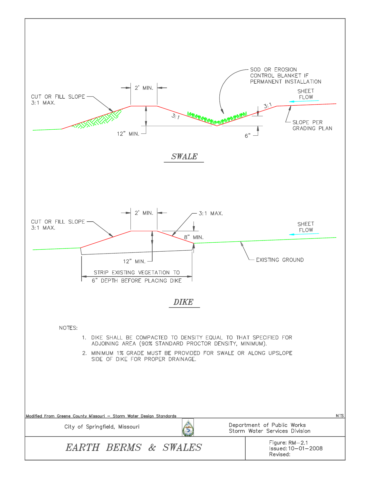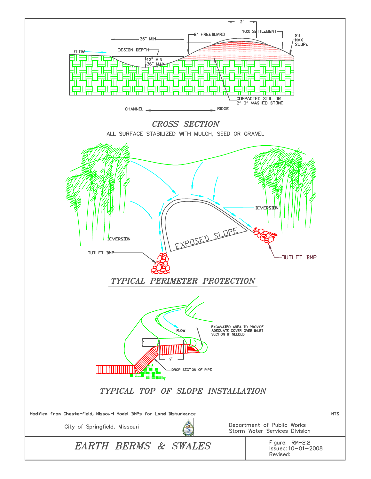